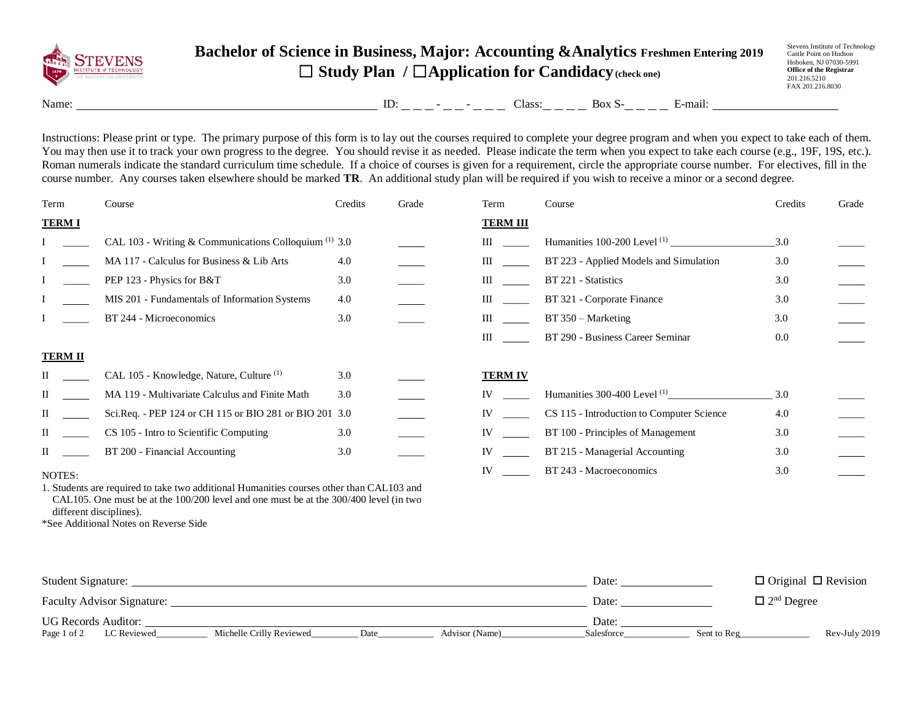

## **Bachelor of Science in Business, Major: Accounting &Analytics Freshmen Entering 2019** ☐ **Study Plan /** ☐**Application for Candidacy(check one)**

Stevens Institute of Technology Castle Point on Hudson Hoboken, NJ 07030-5991 **Office of the Registrar** 201.216.5210 FAX 201.216.8030

Name: ID: - - Class: Box S- E-mail:

Instructions: Please print or type. The primary purpose of this form is to lay out the courses required to complete your degree program and when you expect to take each of them. You may then use it to track your own progress to the degree. You should revise it as needed. Please indicate the term when you expect to take each course (e.g., 19F, 19S, etc.). Roman numerals indicate the standard curriculum time schedule. If a choice of courses is given for a requirement, circle the appropriate course number. For electives, fill in the course number. Any courses taken elsewhere should be marked **TR**. An additional study plan will be required if you wish to receive a minor or a second degree.

| Term                                                                                     | Course                                                  | Credits | Grade | Term            | Course                                    | Credits | Grade |  |  |
|------------------------------------------------------------------------------------------|---------------------------------------------------------|---------|-------|-----------------|-------------------------------------------|---------|-------|--|--|
| <b>TERM I</b>                                                                            |                                                         |         |       | <b>TERM III</b> |                                           |         |       |  |  |
|                                                                                          | CAL 103 - Writing & Communications Colloquium $(1)$ 3.0 |         |       | Ш               |                                           | 3.0     |       |  |  |
|                                                                                          | MA 117 - Calculus for Business & Lib Arts               | 4.0     |       | Ш               | BT 223 - Applied Models and Simulation    | 3.0     |       |  |  |
|                                                                                          | PEP 123 - Physics for B&T                               | 3.0     |       | Ш               | BT 221 - Statistics                       | 3.0     |       |  |  |
|                                                                                          | MIS 201 - Fundamentals of Information Systems           | 4.0     |       | Ш               | BT 321 - Corporate Finance                | 3.0     |       |  |  |
|                                                                                          | BT 244 - Microeconomics                                 | 3.0     |       | Ш               | $BT 350 - Marketing$                      | 3.0     |       |  |  |
|                                                                                          |                                                         |         |       | Ш               | BT 290 - Business Career Seminar          | 0.0     |       |  |  |
| <b>TERM II</b>                                                                           |                                                         |         |       |                 |                                           |         |       |  |  |
|                                                                                          | CAL 105 - Knowledge, Nature, Culture <sup>(1)</sup>     | 3.0     |       | <b>TERM IV</b>  |                                           |         |       |  |  |
| Н                                                                                        | MA 119 - Multivariate Calculus and Finite Math          | 3.0     |       | IV              | Humanities $300-400$ Level $^{(1)}$       | 3.0     |       |  |  |
| $\rm II$                                                                                 | Sci.Req. - PEP 124 or CH 115 or BIO 281 or BIO 201 3.0  |         |       | IV              | CS 115 - Introduction to Computer Science | 4.0     |       |  |  |
| П                                                                                        | CS 105 - Intro to Scientific Computing                  | 3.0     |       | IV              | BT 100 - Principles of Management         | 3.0     |       |  |  |
| П                                                                                        | BT 200 - Financial Accounting                           | 3.0     |       | IV              | BT 215 - Managerial Accounting            | 3.0     |       |  |  |
| NOTES:                                                                                   |                                                         |         |       | IV              | BT 243 - Macroeconomics                   | 3.0     |       |  |  |
| 1. Students are required to take two additional Humanities courses other than CAL103 and |                                                         |         |       |                 |                                           |         |       |  |  |

CAL105. One must be at the 100/200 level and one must be at the 300/400 level (in two different disciplines).

\*See Additional Notes on Reverse Side

| Student Signature:                                                               | Date:      | $\Box$ Original $\Box$ Revision |
|----------------------------------------------------------------------------------|------------|---------------------------------|
| <b>Faculty Advisor Signature:</b>                                                | Date:      | $\Box$ 2 <sup>nd</sup> Degree   |
| UG Records Auditor:                                                              | Date:      |                                 |
| Page 1 of 2<br>LC Reviewed<br>Michelle Crilly Reviewed<br>Advisor (Name)<br>Date | Salesforce | Rev-July 2019<br>Sent to Reg    |